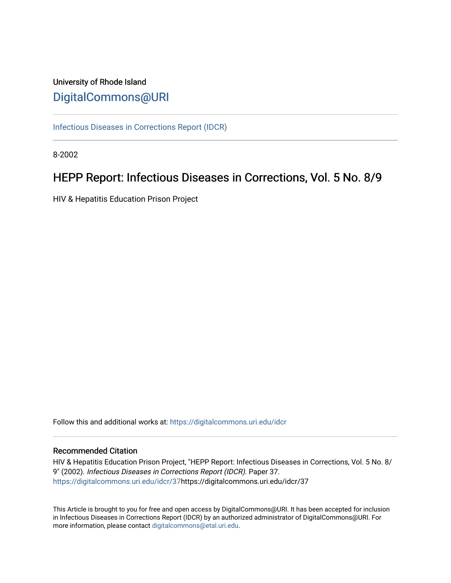# University of Rhode Island [DigitalCommons@URI](https://digitalcommons.uri.edu/)

[Infectious Diseases in Corrections Report \(IDCR\)](https://digitalcommons.uri.edu/idcr)

8-2002

# HEPP Report: Infectious Diseases in Corrections, Vol. 5 No. 8/9

HIV & Hepatitis Education Prison Project

Follow this and additional works at: [https://digitalcommons.uri.edu/idcr](https://digitalcommons.uri.edu/idcr?utm_source=digitalcommons.uri.edu%2Fidcr%2F37&utm_medium=PDF&utm_campaign=PDFCoverPages)

# Recommended Citation

HIV & Hepatitis Education Prison Project, "HEPP Report: Infectious Diseases in Corrections, Vol. 5 No. 8/ 9" (2002). Infectious Diseases in Corrections Report (IDCR). Paper 37. [https://digitalcommons.uri.edu/idcr/37h](https://digitalcommons.uri.edu/idcr/37?utm_source=digitalcommons.uri.edu%2Fidcr%2F37&utm_medium=PDF&utm_campaign=PDFCoverPages)ttps://digitalcommons.uri.edu/idcr/37

This Article is brought to you for free and open access by DigitalCommons@URI. It has been accepted for inclusion in Infectious Diseases in Corrections Report (IDCR) by an authorized administrator of DigitalCommons@URI. For more information, please contact [digitalcommons@etal.uri.edu.](mailto:digitalcommons@etal.uri.edu)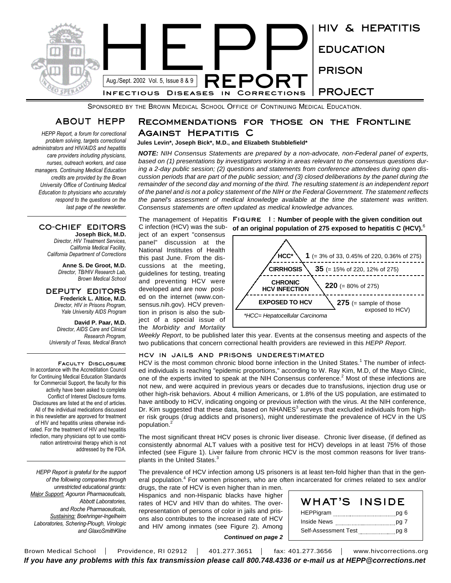

SPONSORED BY THE BROWN MEDICAL SCHOOL OFFICE OF CONTINUING MEDICAL EDUCATION.

# **ABOUT HEPP**

*HEPP Report, a forum for correctional problem solving, targets correctional administrators and HIV/AIDS and hepatitis care providers including physicians, nurses, outreach workers, and case managers. Continuing Medical Education credits are provided by the Brown University Office of Continuing Medical Education to physicians who accurately respond to the questions on the last page of the newsletter.* 

#### **CO-CHIEF EDITORS Joseph Bick, M.D.**

*Director, HIV Treatment Services, California Medical Facility, California Department of Corrections*

> **Anne S. De Groot, M.D.** *Director, TB/HIV Research Lab, Brown Medical School*

**DEPUTY EDITORS Frederick L. Altice, M.D.** *Director, HIV in Prisons Program, Yale University AIDS Program*

**David P. Paar, M.D.** *Director, AIDS Care and Clinical Research Program, University of Texas, Medical Branch*

**Faculty Disclosure** In accordance with the Accreditation Council for Continuing Medical Education Standards for Commercial Support, the faculty for this activity have been asked to complete Conflict of Interest Disclosure forms. Disclosures are listed at the end of articles. All of the individual medications discussed in this newsletter are approved for treatment of HIV and hepatitis unless otherwise indicated. For the treatment of HIV and hepatitis infection, many physicians opt to use combination antiretroviral therapy which is not addressed by the FDA.

*HEPP Report is grateful for the support of the following companies through unrestricted educational grants: Major Support: Agouron Pharmaceuticals, Abbott Laboratories, and Roche Pharmaceuticals, Sustaining: Boehringer-Ingelheim Laboratories, Schering-Plough, Virologic and GlaxoSmithKline*

# **Recommendations for those on the Frontline Against Hepatitis C**

# **Jules Levin\*, Joseph Bick\*, M.D., and Elizabeth Stubblefield\***

*NOTE: NIH Consensus Statements are prepared by a non-advocate, non-Federal panel of experts, based on (1) presentations by investigators working in areas relevant to the consensus questions during a 2-day public session; (2) questions and statements from conference attendees during open discussion periods that are part of the public session; and (3) closed deliberations by the panel during the remainder of the second day and morning of the third. The resulting statement is an independent report of the panel and is not a policy statement of the NIH or the Federal Government. The statement reflects the panel's assessment of medical knowledge available at the time the statement was written. Consensus statements are often updated as medical knowledge advances.*

C infection (HCV) was the subject of an expert "consensus panel" discussion at the National Institutes of Health this past June. From the discussions at the meeting, guidelines for testing, treating and preventing HCV were developed and are now posted on the internet (www.consensus.nih.gov). HCV prevention in prison is also the subject of a special issue of the *Morbidity and Mortality*

The management of Hepatitis FIGURE 1: Number of people with the given condition out **of an original population of 275 exposed to hepatitis C (HCV).** 6



*Weekly Report*, to be published later this year. Events at the consensus meeting and aspects of the two publications that concern correctional health providers are reviewed in this *HEPP Report*.

#### **HCV IN JAILS AND PRISONS UNDERESTIMATED**

HCV is the most common chronic blood borne infection in the United States.<sup>1</sup> The number of infected individuals is reaching "epidemic proportions," according to W. Ray Kim, M.D, of the Mayo Clinic, one of the experts invited to speak at the NIH Consensus conference.<sup>2</sup> Most of these infections are not new, and were acquired in previous years or decades due to transfusions, injection drug use or other high-risk behaviors. About 4 million Americans, or 1.8% of the US population, are estimated to have antibody to HCV, indicating ongoing or previous infection with the virus. At the NIH conference, Dr. Kim suggested that these data, based on NHANES<sup>3</sup> surveys that excluded individuals from higher risk groups (drug addicts and prisoners), might underestimate the prevalence of HCV in the US population. 2

The most significant threat HCV poses is chronic liver disease. Chronic liver disease, (if defined as consistently abnormal ALT values with a positive test for HCV) develops in at least 75% of those infected (see Figure 1). Liver failure from chronic HCV is the most common reasons for liver transplants in the United States.<sup>3</sup>

The prevalence of HCV infection among US prisoners is at least ten-fold higher than that in the general population.<sup>4</sup> For women prisoners, who are often incarcerated for crimes related to sex and/or

drugs, the rate of HCV is even higher than in men. Hispanics and non-Hispanic blacks have higher rates of HCV and HIV than do whites. The overrepresentation of persons of color in jails and prisons also contributes to the increased rate of HCV and HIV among inmates (see Figure 2). Among

| WHAT'S               | <b>INSIDE</b> |
|----------------------|---------------|
| <b>HEPPigram</b>     | pg 6          |
| <b>Inside News</b>   | pg 7          |
| Self-Assessment Test | pg 8          |

*Continued on page 2*

Brown Medical School | Providence, RI 02912 | 401.277.3651 | fax: 401.277.3656 | www.hivcorrections.org *If you have any problems with this fax transmission please call 800.748.4336 or e-mail us at HEPP@corrections.net*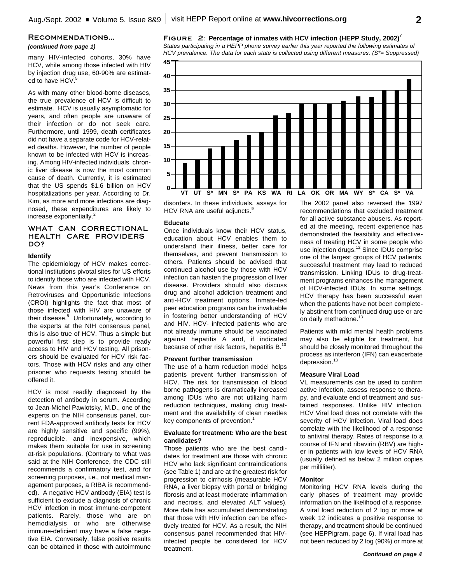# **Recommendations...**

#### *(continued from page 1)*

many HIV-infected cohorts, 30% have HCV, while among those infected with HIV by injection drug use, 60-90% are estimated to have HCV. 5

As with many other blood-borne diseases, the true prevalence of HCV is difficult to estimate. HCV is usually asymptomatic for years, and often people are unaware of their infection or do not seek care. Furthermore, until 1999, death certificates did not have a separate code for HCV-related deaths. However, the number of people known to be infected with HCV is increasing. Among HIV-infected individuals, chronic liver disease is now the most common cause of death. Currently, it is estimated that the US spends \$1.6 billion on HCV hospitalizations per year. According to Dr. Kim, as more and more infections are diagnosed, these expenditures are likely to increase exponentially. 2

# **WHAT CAN CORRECTIONAL HEALTH CARE PROVIDERS DO?**

#### **Identify**

The epidemiology of HCV makes correctional institutions pivotal sites for US efforts to identify those who are infected with HCV. News from this year's Conference on Retroviruses and Opportunistic Infections (CROI) highlights the fact that most of those infected with HIV are unaware of their disease. <sup>8</sup> Unfortunately, according to the experts at the NIH consensus panel, this is also true of HCV. Thus a simple but powerful first step is to provide ready access to HIV and HCV testing. All prisoners should be evaluated for HCV risk factors. Those with HCV risks and any other prisoner who requests testing should be offered it.

HCV is most readily diagnosed by the detection of antibody in serum. According to Jean-Michel Pawlotsky, M.D., one of the experts on the NIH consensus panel, current FDA-approved antibody tests for HCV are highly sensitive and specific (99%), reproducible, and inexpensive, which makes them suitable for use in screening at-risk populations. (Contrary to what was said at the NIH Conference, the CDC still recommends a confirmatory test, and for screening purposes, i.e., not medical management purposes, a RIBA is recommended). A negative HCV antibody (EIA) test is sufficient to exclude a diagnosis of chronic HCV infection in most immune-competent patients. Rarely, those who are on hemodialysis or who are otherwise immune-deficient may have a false negative EIA. Conversely, false positive results can be obtained in those with autoimmune

# **Figure 2: Percentage of inmates with HCV infection (HEPP Study, 2002)** 7

*States participating in a HEPP phone survey earlier this year reported the following estimates of HCV prevalence. The data for each state is collected using different measures. (S\*= Suppressed)*



disorders. In these individuals, assays for HCV RNA are useful adjuncts.<sup>9</sup>

#### **Educate**

Once individuals know their HCV status, education about HCV enables them to understand their illness, better care for themselves, and prevent transmission to others. Patients should be advised that continued alcohol use by those with HCV infection can hasten the progression of liver disease. Providers should also discuss drug and alcohol addiction treatment and anti-HCV treatment options. Inmate-led peer education programs can be invaluable in fostering better understanding of HCV and HIV. HCV- infected patients who are not already immune should be vaccinated against hepatitis A and, if indicated because of other risk factors, hepatitis B.<sup>10</sup>

#### **Prevent further transmission**

The use of a harm reduction model helps patients prevent further transmission of HCV. The risk for transmission of blood borne pathogens is dramatically increased among IDUs who are not utilizing harm reduction techniques, making drug treatment and the availability of clean needles key components of prevention. 1

### **Evaluate for treatment: Who are the best candidates?**

Those patients who are the best candidates for treatment are those with chronic HCV who lack significant contraindications (see Table 1) and are at the greatest risk for progression to cirrhosis (measurable HCV RNA, a liver biopsy with portal or bridging fibrosis and at least moderate inflammation and necrosis, and elevated ALT values). More data has accumulated demonstrating that those with HIV infection can be effectively treated for HCV. As a result, the NIH consensus panel recommended that HIVinfected people be considered for HCV treatment.

The 2002 panel also reversed the 1997 recommendations that excluded treatment for all active substance abusers. As reported at the meeting, recent experience has demonstrated the feasibility and effectiveness of treating HCV in some people who use injection drugs.<sup>12</sup> Since IDUs comprise one of the largest groups of HCV patients, successful treatment may lead to reduced transmission. Linking IDUs to drug-treatment programs enhances the management of HCV-infected IDUs. In some settings, HCV therapy has been successful even when the patients have not been completely abstinent from continued drug use or are on daily methadone.<sup>13</sup>

Patients with mild mental health problems may also be eligible for treatment, but should be closely monitored throughout the process as interferon (IFN) can exacerbate depression.<sup>13</sup>

#### **Measure Viral Load**

VL measurements can be used to confirm active infection, assess response to therapy, and evaluate end of treatment and sustained responses. Unlike HIV infection, HCV Viral load does not correlate with the severity of HCV infection. Viral load does correlate with the likelihood of a response to antiviral therapy. Rates of response to a course of IFN and ribavirin (RBV) are higher in patients with low levels of HCV RNA (usually defined as below 2 million copies per milliliter).

#### **Monitor**

Monitoring HCV RNA levels during the early phases of treatment may provide information on the likelihood of a response. A viral load reduction of 2 log or more at week 12 indicates a positive response to therapy, and treatment should be continued (see HEPPigram, page 6). If viral load has not been reduced by 2 log (90%) or more at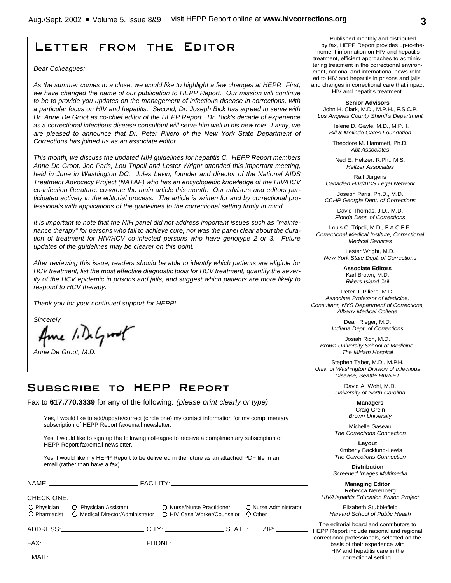# **Letter from the Editor**

#### *Dear Colleagues:*

*As the summer comes to a close, we would like to highlight a few changes at HEPP. First, we have changed the name of our publication to HEPP Report. Our mission will continue to be to provide you updates on the management of infectious disease in corrections, with a particular focus on HIV and hepatitis. Second, Dr. Joseph Bick has agreed to serve with Dr. Anne De Groot as co-chief editor of the HEPP Report. Dr. Bick's decade of experience as a correctional infectious disease consultant will serve him well in his new role. Lastly, we are pleased to announce that Dr. Peter Piliero of the New York State Department of Corrections has joined us as an associate editor.*

*This month, we discuss the updated NIH guidelines for hepatitis C. HEPP Report members Anne De Groot, Joe Paris, Lou Tripoli and Lester Wright attended this important meeting, held in June in Washington DC. Jules Levin, founder and director of the National AIDS Treatment Advocacy Project (NATAP) who has an encyclopedic knowledge of the HIV/HCV co-infection literature, co-wrote the main article this month. Our advisors and editors participated actively in the editorial process. The article is written for and by correctional professionals with applications of the guidelines to the correctional setting firmly in mind.* 

*It is important to note that the NIH panel did not address important issues such as "maintenance therapy" for persons who fail to achieve cure, nor was the panel clear about the duration of treatment for HIV/HCV co-infected persons who have genotype 2 or 3. Future updates of the guidelines may be clearer on this point.*

*After reviewing this issue, readers should be able to identify which patients are eligible for HCV treatment, list the most effective diagnostic tools for HCV treatment, quantify the severity of the HCV epidemic in prisons and jails, and suggest which patients are more likely to respond to HCV therapy.*

*Thank you for your continued support for HEPP!*

*Sincerely,*

Ame 1. DeGroot

*Anne De Groot, M.D.*

# **Subscribe to HEPP Report**

Fax to **617.770.3339** for any of the following: *(please print clearly or type)*

| Yes, I would like to add/update/correct (circle one) my contact information for my complimentary<br>subscription of HEPP Report fax/email newsletter. |
|-------------------------------------------------------------------------------------------------------------------------------------------------------|
| Yes, I would like to sign up the following colleague to receive a complimentary subscription of<br>HEPP Report fax/email newsletter.                  |

Yes, I would like my HEPP Report to be delivered in the future as an attached PDF file in an email (rather than have a fax).

| <b>CHECK ONE:</b> | O Physician C Physician Assistant C Nurse/Nurse Practitioner C Nurse Administrator<br>O Pharmacist O Medical Director/Administrator O HIV Case Worker/Counselor O Other |  |      |
|-------------------|-------------------------------------------------------------------------------------------------------------------------------------------------------------------------|--|------|
|                   |                                                                                                                                                                         |  |      |
|                   |                                                                                                                                                                         |  | corr |
|                   |                                                                                                                                                                         |  |      |

Published monthly and distributed by fax, HEPP Report provides up-to-themoment information on HIV and hepatitis treatment, efficient approaches to administering treatment in the correctional environment, national and international news related to HIV and hepatitis in prisons and jails, and changes in correctional care that impact

## HIV and hepatitis treatment.

#### **Senior Advisors** John H. Clark, M.D., M.P.H., F.S.C.P. *Los Angeles County Sheriff's Department*

Helene D. Gayle, M.D., M.P.H. *Bill & Melinda Gates Foundation*

Theodore M. Hammett, Ph.D. *Abt Associates*

Ned E. Heltzer, R.Ph., M.S. *Heltzer Associates*

Ralf Jürgens *Canadian HIV/AIDS Legal Network*

Joseph Paris, Ph.D., M.D. *CCHP Georgia Dept. of Corrections*

> David Thomas, J.D., M.D. *Florida Dept. of Corrections*

Louis C. Tripoli, M.D., F.A.C.F.E. *Correctional Medical Institute, Correctional Medical Services*

Lester Wright, M.D. *New York State Dept. of Corrections*

> **Associate Editors** Karl Brown, M.D. *Rikers Island Jail*

Peter J. Piliero, M.D. *Associate Professor of Medicine, Consultant, NYS Departmenf of Corrections, Albany Medical College*

> Dean Rieger, M.D. *Indiana Dept. of Corrections*

Josiah Rich, M.D. *Brown University School of Medicine, The Miriam Hospital*

Stephen Tabet, M.D., M.P.H. *Univ. of Washington Division of Infectious Disease, Seattle HIVNET*

> David A. Wohl, M.D. *University of North Carolina*

> > **Managers** Craig Grein *Brown University*

Michelle Gaseau *The Corrections Connection*

**Layout** Kimberly Backlund-Lewis *The Corrections Connection*

**Distribution** *Screened Images Multimedia*

**Managing Editor** Rebecca Nerenberg *HIV/Hepatitis Education Prison Project*

Elizabeth Stubblefield *Harvard School of Public Health*

ne editorial board and contributors to P Report include national and regional ectional professionals, selected on the basis of their experience with HIV and hepatitis care in the correctional setting.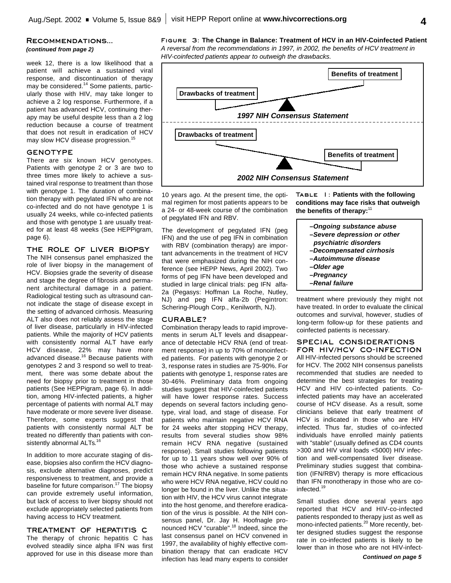# **Recommendations...** *(continued from page 2)*

week 12, there is a low likelihood that a patient will achieve a sustained viral response, and discontinuation of therapy may be considered.<sup>14</sup> Some patients, particularly those with HIV, may take longer to achieve a 2 log response. Furthermore, if a patient has advanced HCV, continuing therapy may be useful despite less than a 2 log reduction because a course of treatment that does not result in eradication of HCV may slow HCV disease progression. 15

### **GENOTYPE**

There are six known HCV genotypes. Patients with genotype 2 or 3 are two to three times more likely to achieve a sustained viral response to treatment than those with genotype 1. The duration of combination therapy with pegylated IFN who are not co-infected and do not have genotype 1 is usually 24 weeks, while co-infected patients and those with genotype 1 are usually treated for at least 48 weeks (See HEPPigram, page 6).

# **THE ROLE OF LIVER BIOPSY**

The NIH consensus panel emphasized the role of liver biopsy in the management of HCV. Biopsies grade the severity of disease and stage the degree of fibrosis and permanent architectural damage in a patient. Radiological testing such as ultrasound cannot indicate the stage of disease except in the setting of advanced cirrhosis. Measuring ALT also does not reliably assess the stage of liver disease, particularly in HIV-infected patients. While the majority of HCV patients with consistently normal ALT have early HCV disease, 22% may have more advanced disease.<sup>16</sup> Because patients with genotypes 2 and 3 respond so well to treatment, there was some debate about the need for biopsy prior to treatment in those patients (See HEPPigram, page 6). In addition, among HIV-infected patients, a higher percentage of patients with normal ALT may have moderate or more severe liver disease. Therefore, some experts suggest that patients with consistently normal ALT be treated no differently than patients with consistently abnormal ALTs.<sup>16</sup>

In addition to more accurate staging of disease, biopsies also confirm the HCV diagnosis, exclude alternative diagnoses, predict responsiveness to treatment, and provide a baseline for future comparison. <sup>17</sup> The biopsy can provide extremely useful information, but lack of access to liver biopsy should not exclude appropriately selected patients from having access to HCV treatment.

**TREATMENT OF HEPATITIS C** The therapy of chronic hepatitis C has evolved steadily since alpha IFN was first approved for use in this disease more than

**Figure 3: The Change in Balance: Treatment of HCV in an HIV-Coinfected Patient** *A reversal from the recommendations in 1997, in 2002, the benefits of HCV treatment in HIV-coinfected patients appear to outweigh the drawbacks.*



10 years ago. At the present time, the optimal regimen for most patients appears to be a 24- or 48-week course of the combination of pegylated IFN and RBV.

The development of pegylated IFN (peg IFN) and the use of peg IFN in combination with RBV (combination therapy) are important advancements in the treatment of HCV that were emphasized during the NIH conference (see HEPP News, April 2002). Two forms of peg IFN have been developed and studied in large clinical trials: peg IFN alfa-2a (Pegasys: Hoffman La Roche, Nutley, NJ) and peg IFN alfa-2b (Pegintron: Schering-Plough Corp., Kenilworth, NJ).

## **CURABLE?**

Combination therapy leads to rapid improvements in serum ALT levels and disappearance of detectable HCV RNA (end of treatment response) in up to 70% of monoinfected patients. For patients with genotype 2 or 3, response rates in studies are 75-90%. For patients with genotype 1, response rates are 30-46%. Preliminary data from ongoing studies suggest that HIV-coinfected patients will have lower response rates. Success depends on several factors including genotype, viral load, and stage of disease. For patients who maintain negative HCV RNA for 24 weeks after stopping HCV therapy, results from several studies show 98% remain HCV RNA negative (sustained response). Small studies following patients for up to 11 years show well over 90% of those who achieve a sustained response remain HCV RNA negative. In some patients who were HCV RNA negative, HCV could no longer be found in the liver. Unlike the situation with HIV, the HCV virus cannot integrate into the host genome, and therefore eradication of the virus is possible. At the NIH consensus panel, Dr. Jay H. Hoofnagle pronounced HCV "curable".<sup>18</sup> Indeed, since the last consensus panel on HCV convened in 1997, the availability of highly effective combination therapy that can eradicate HCV infection has lead many experts to consider

**Table 1: Patients with the following conditions may face risks that outweigh the benefits of therapy:** 11

| -Ongoing substance abuse    |
|-----------------------------|
| -Severe depression or other |
| psychiatric disorders       |
| -Decompensated cirrhosis    |
| -Autoimmune disease         |
| -Older age                  |
| -Pregnancy                  |
| -Renal failure              |

treatment where previously they might not have treated. In order to evaluate the clinical outcomes and survival, however, studies of long-term follow-up for these patients and coinfected patients is necessary.

### **SPECIAL CONSIDERATIONS FOR HIV/HCV CO-INFECTION**

All HIV-infected persons should be screened for HCV. The 2002 NIH consensus panelists recommended that studies are needed to determine the best strategies for treating HCV and HIV co-infected patients. Coinfected patients may have an accelerated course of HCV disease. As a result, some clinicians believe that early treatment of HCV is indicated in those who are HIV infected. Thus far, studies of co-infected individuals have enrolled mainly patients with "stable" (usually defined as CD4 counts >300 and HIV viral loads <5000) HIV infection and well-compensated liver disease. Preliminary studies suggest that combination (IFN/RBV) therapy is more efficacious than IFN monotherapy in those who are coinfected. 19

Small studies done several years ago reported that HCV and HIV-co-infected patients responded to therapy just as well as mono-infected patients.<sup>20</sup> More recently, better designed studies suggest the response rate in co-infected patients is likely to be lower than in those who are not HIV-infect-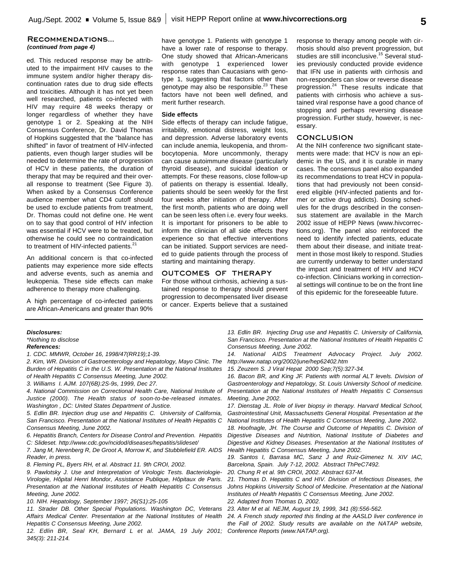## **Recommendations...** *(continued from page 4)*

ed. This reduced response may be attributed to the impairment HIV causes to the immune system and/or higher therapy discontinuation rates due to drug side effects and toxicities. Although it has not yet been well researched, patients co-infected with HIV may require 48 weeks therapy or longer regardless of whether they have genotype 1 or 2. Speaking at the NIH Consensus Conference, Dr. David Thomas of Hopkins suggested that the "balance has shifted" in favor of treatment of HIV-infected patients, even though larger studies will be needed to determine the rate of progression of HCV in these patients, the duration of therapy that may be required and their overall response to treatment (See Figure 3). When asked by a Consensus Conference audience member what CD4 cutoff should be used to exclude patients from treatment, Dr. Thomas could not define one. He went on to say that good control of HIV infection was essential if HCV were to be treated, but otherwise he could see no contraindication to treatment of HIV-infected patients.<sup>21</sup>

An additional concern is that co-infected patients may experience more side effects and adverse events, such as anemia and leukopenia. These side effects can make adherence to therapy more challenging.

A high percentage of co-infected patients are African-Americans and greater than 90% have genotype 1. Patients with genotype 1 have a lower rate of response to therapy. One study showed that African-Americans with genotype 1 experienced lower response rates than Caucasians with genotype 1, suggesting that factors other than genotype may also be responsible.<sup>23</sup> These factors have not been well defined, and merit further research.

## **Side effects**

Side effects of therapy can include fatigue, irritability, emotional distress, weight loss, and depression. Adverse laboratory events can include anemia, leukopenia, and thrombocytopenia. More uncommonly, therapy can cause autoimmune disease (particularly thyroid disease), and suicidal ideation or attempts. For these reasons, close follow-up of patients on therapy is essential. Ideally, patients should be seen weekly for the first four weeks after initiation of therapy. After the first month, patients who are doing well can be seen less often i.e. every four weeks. It is important for prisoners to be able to inform the clinician of all side effects they experience so that effective interventions can be initiated. Support services are needed to guide patients through the process of starting and maintaining therapy.

# **OUTCOMES OF THERAPY**

For those without cirrhosis, achieving a sustained response to therapy should prevent progression to decompensated liver disease or cancer. Experts believe that a sustained

response to therapy among people with cirrhosis should also prevent progression, but studies are still inconclusive. <sup>15</sup> Several studies previously conducted provide evidence that IFN use in patients with cirrhosis and non-responders can slow or reverse disease progression.<sup>24</sup> These results indicate that patients with cirrhosis who achieve a sustained viral response have a good chance of stopping and perhaps reversing disease progression. Further study, however, is necessary.

## **CONCLUSION**

At the NIH conference two significant statements were made: that HCV is now an epidemic in the US, and it is curable in many cases. The consensus panel also expanded its recommendations to treat HCV in populations that had previously not been considered eligible (HIV-infected patients and former or active drug addicts). Dosing schedules for the drugs described in the consensus statement are available in the March 2002 issue of HEPP News (www.hivcorrections.org). The panel also reinforced the need to identify infected patients, educate them about their disease, and initiate treatment in those most likely to respond. Studies are currently underway to better understand the impact and treatment of HIV and HCV co-infection. Clinicians working in correctional settings will continue to be on the front line of this epidemic for the foreseeable future.

#### *Disclosures:*

#### *\*Nothing to disclose*

*References:*

*1. CDC. MMWR, October 16, 1998/47(RR19);1-39.*

*2. Kim, WR. Division of Gastroenterology and Hepatology, Mayo Clinic. The Burden of Hepatitis C in the U.S. W. Presentation at the National Institutes of Health Hepatitis C Consensus Meeting, June 2002.*

*3. Williams I. AJM. 107(6B):2S-9s, 1999, Dec 27.*

*4. National Commission on Correctional Health Care, National Institute of Justice (2000). The Health status of soon-to-be-released inmates. Washington , DC: United States Department of Justice.*

*5. Edlin BR. Injection drug use and Hepatitis C. University of California, San Francisco. Presentation at the National Institutes of Health Hepatitis C Consensus Meeting, June 2002.*

*6. Hepatitis Branch, Centers for Disease Control and Prevention. Hepatitis C: Slideset. http://www.cdc.gov/ncidod/diseases/hepatitis/slideset/*

*7. Jang M, Nerenberg R, De Groot A, Morrow K, and Stubblefield ER. AIDS Reader, in press.*

*8. Fleming PL, Byers RH, et al. Abstract 11. 9th CROI, 2002.*

*9. Pawlotsky J. Use and Interpretation of Virologic Tests. Bacteriologie-Virologie, Hôpital Henri Mondor, Assistance Publique, Hôpitaux de Paris. Presentation at the National Institutes of Health Hepatitis C Consensus Meeting, June 2002.*

*10. NIH. Hepatology, September 1997; 26(S1):25-105*

*11. Strader DB. Other Special Populations. Washington DC, Veterans Affairs Medical Center. Presentation at the National Institutes of Health Hepatitis C Consensus Meeting, June 2002.*

*12. Edlin BR, Seal KH, Bernard L et al. JAMA, 19 July 2001; Conference Reports (www.NATAP.org).345(3): 211-214.*

*13. Edlin BR. Injecting Drug use and Hepatitis C. University of California, San Francisco. Presentation at the National Institutes of Health Hepatitis C Consensus Meeting, June 2002.*

*14. National AIDS Treatment Advocacy Project. July 2002. http://www.natap.org/2002/june/hep62402.htm* 

*15. Zeuzem S. J Viral Hepat 2000 Sep;7(5):327-34.*

*16. Bacon BR, and King JF. Patients with normal ALT levels. Division of Gastroenterology and Hepatology, St. Louis University School of medicine. Presentation at the National Institutes of Health Hepatitis C Consensus Meeting, June 2002.*

*17. Dienstag JL. Role of liver biopsy in therapy. Harvard Medical School, Gastrointestinal Unit, Massachusetts General Hospital. Presentation at the National Institutes of Health Hepatitis C Consensus Meeting, June 2002.*

*18. Hoofnagle, JH. The Course and Outcome of Hepatitis C. Division of Digestive Diseases and Nutrition, National Institute of Diabetes and Digestive and Kidney Diseases. Presentation at the National Institutes of Health Hepatitis C Consensus Meeting, June 2002.*

*19. Santos I, Barrasa MC, Sanz J and Ruiz-Gimenez N. XIV IAC, Barcelona, Spain. July 7-12, 2002. Abstract ThPeC7492.*

*20. Chung R et al. 9th CROI, 2002. Abstract 637-M.*

*21. Thomas D. Hepatitis C and HIV. Division of Infectious Diseases, the Johns Hopkins University School of Medicine. Presentation at the National Institutes of Health Hepatitis C Consensus Meeting, June 2002.*

*22. Adapted from Thomas D, 2002.*

*23. Alter M et al. NEJM, August 19, 1999, 341 (8):556-562.*

*24. A French study reported this finding at the AASLD liver conference in the Fall of 2002. Study results are available on the NATAP website,*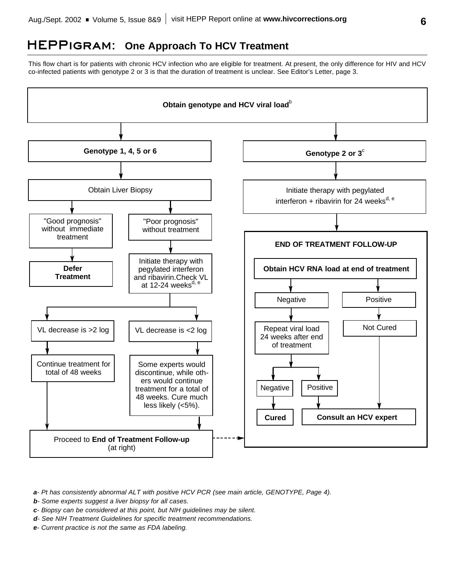# **HEPPigram: One Approach To HCV Treatment**

This flow chart is for patients with chronic HCV infection who are eligible for treatment. At present, the only difference for HIV and HCV co-infected patients with genotype 2 or 3 is that the duration of treatment is unclear. See Editor's Letter, page 3.



*a- Pt has consistently abnormal ALT with positive HCV PCR (see main article, GENOTYPE, Page 4).*

*b- Some experts suggest a liver biopsy for all cases.*

- *c Biopsy can be considered at this point, but NIH guidelines may be silent.*
- *d See NIH Treatment Guidelines for specific treatment recommendations.*
- *e Current practice is not the same as FDA labeling.*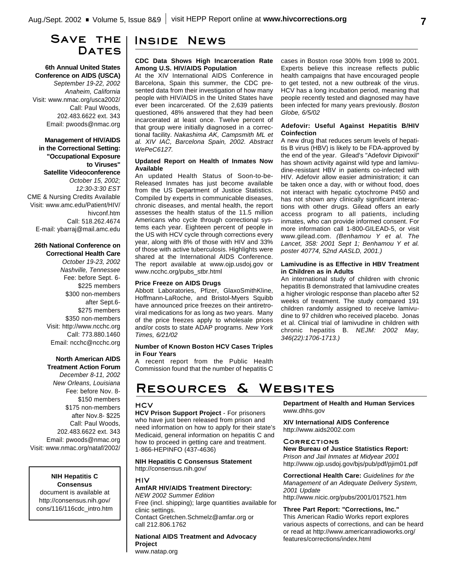# **Save the Dates**

#### **6th Annual United States Conference on AIDS (USCA)**

*September 19-22, 2002 Anaheim, California* Visit: www.nmac.org/usca2002/ Call: Paul Woods, 202.483.6622 ext. 343 Email: pwoods@nmac.org

**Management of HIV/AIDS in the Correctional Setting: "Occupational Exposure to Viruses"**

**Satellite Videoconference** *October 15, 2002; 12:30-3:30 EST* CME & Nursing Credits Available Visit: www.amc.edu/Patient/HIV/ hivconf.htm Call: 518.262.4674 E-mail: ybarraj@mail.amc.edu

### **26th National Conference on Correctional Health Care**

*October 19-23, 2002 Nashville, Tennessee* Fee: before Sept. 6- \$225 members \$300 non-members after Sept.6- \$275 members \$350 non-members Visit: http://www.ncchc.org Call: 773.880.1460 Email: ncchc@ncchc.org

#### **North American AIDS Treatment Action Forum**

*December 8-11, 2002 New Orleans, Louisiana* Fee: before Nov. 8- \$150 members \$175 non-members after Nov.8- \$225 Call: Paul Woods, 202.483.6622 ext. 343 Email: pwoods@nmac.org Visit: www.nmac.org/nataf/2002/

**NIH Hepatitis C Consensus**  document is available at http://consensus.nih.gov/ cons/116/116cdc\_intro.htm

# **Inside News**

#### **CDC Data Shows High Incarceration Rate Among U.S. HIV/AIDS Population**

At the XIV International AIDS Conference in Barcelona, Spain this summer, the CDC presented data from their investigation of how many people with HIV/AIDS in the United States have ever been incarcerated. Of the 2,639 patients questioned, 48% answered that they had been incarcerated at least once. Twelve percent of that group were initially diagnosed in a correctional facility. *Nakashima AK, Campsmith ML et al. XIV IAC, Barcelona Spain, 2002. Abstract WePeC6127.*

## **Updated Report on Health of Inmates Now Available**

An updated Health Status of Soon-to-be-Released Inmates has just become available from the US Department of Justice Statistics. Compiled by experts in communicable diseases, chronic diseases, and mental health, the report assesses the health status of the 11.5 million Americans who cycle through correctional systems each year. Eighteen percent of people in the US with HCV cycle through corrections every year, along with 8% of those with HIV and 33% of those with active tuberculosis. Highlights were shared at the International AIDS Conference. The report available at www.ojp.usdoj.gov or www.ncchc.org/pubs\_stbr.html

### **Price Freeze on AIDS Drugs**

Abbott Laboratories, Pfizer, GlaxoSmithKline, Hoffmann-LaRoche, and Bristol-Myers Squibb have announced price freezes on their antiretroviral medications for as long as two years. Many of the price freezes apply to wholesale prices and/or costs to state ADAP programs. *New York Times, 6/21/02*

#### **Number of Known Boston HCV Cases Triples in Four Years**

A recent report from the Public Health Commission found that the number of hepatitis C

cases in Boston rose 300% from 1998 to 2001. Experts believe this increase reflects public health campaigns that have encouraged people to get tested, not a new outbreak of the virus. HCV has a long incubation period, meaning that people recently tested and diagnosed may have been infected for many years previously. *Boston Globe, 6/5/02*

### **Adefovir: Useful Against Hepatitis B/HIV Coinfection**

A new drug that reduces serum levels of hepatitis B virus (HBV) is likely to be FDA-approved by the end of the year. Gilead's "Adefovir Dipivoxil" has shown activity against wild type and lamivudine-resistant HBV in patients co-infected with HIV. Adefovir allow easier administration; it can be taken once a day, with or without food, does not interact with hepatic cytochrome P450 and has not shown any clinically significant interactions with other drugs. Gilead offers an early access program to all patients, including inmates, who can provide informed consent. For more information call 1-800-GILEAD-5, or visit www.gilead.com. *(Benhamou Y et al. The Lancet, 358: 2001 Sept 1; Benhamou Y et al. poster 40774, 52nd AASLD, 2001.)*

#### **Lamivudine is as Effective in HBV Treatment in Children as in Adults**

An international study of children with chronic hepatitis B demonstrated that lamivudine creates a higher virologic response than placebo after 52 weeks of treatment. The study compared 191 children randomly assigned to receive lamivudine to 97 children who received placebo. Jonas et al. Clinical trial of lamivudine in children with chronic hepatitis B. *NEJM: 2002 May, 346(22):1706-1713.)*

# **Resources & Websites**

### **HCV**

**HCV Prison Support Project** - For prisoners who have just been released from prison and need information on how to apply for their state's Medicaid, general information on hepatitis C and how to proceed in getting care and treatment. 1-866-HEPINFO (437-4636)

## **NIH Hepatitis C Consensus Statement** http://consensus.nih.gov/

#### **HIV**

#### **AmfAR HIV/AIDS Treatment Directory:** *NEW 2002 Summer Edition*

Free (incl. shipping); large quantities available for clinic settings. Contact Gretchen.Schmelz@amfar.org or call 212.806.1762

**National AIDS Treatment and Advocacy Project**

www.natap.org

**Department of Health and Human Services** www.dhhs.gov

**XIV International AIDS Conference** http://www.aids2002.com

#### **Corrections**

**New Bureau of Justice Statistics Report:** *Prison and Jail Inmates at Midyear 2001* http://www.ojp.usdoj.gov/bjs/pub/pdf/pjim01.pdf

**Correctional Health Care:** *Guidelines for the Management of an Adequate Delivery System, 2001 Update* http://www.nicic.org/pubs/2001/017521.htm

**Three Part Report: "Corrections, Inc."** This American Radio Works report explores various aspects of corrections, and can be heard or read at http://www.americanradioworks.org/ features/corrections/index.html